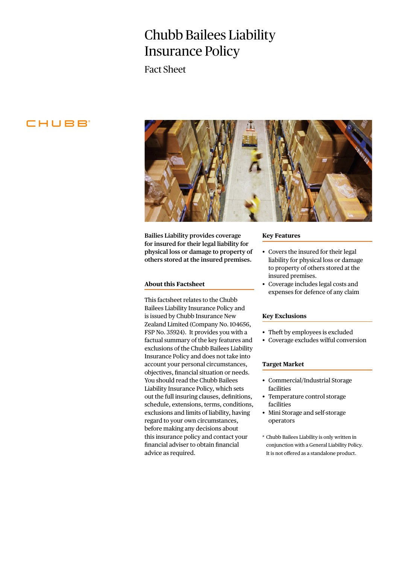# Chubb Bailees Liability Insurance Policy

Fact Sheet

# CHUBB<sup>®</sup>



**Bailies Liability provides coverage for insured for their legal liability for physical loss or damage to property of others stored at the insured premises.**

### **About this Factsheet**

This factsheet relates to the Chubb Bailees Liability Insurance Policy and is issued by Chubb Insurance New Zealand Limited (Company No. 104656, FSP No. 35924). It provides you with a factual summary of the key features and exclusions of the Chubb Bailees Liability Insurance Policy and does not take into account your personal circumstances, objectives, financial situation or needs. You should read the Chubb Bailees Liability Insurance Policy, which sets out the full insuring clauses, definitions, schedule, extensions, terms, conditions, exclusions and limits of liability, having regard to your own circumstances, before making any decisions about this insurance policy and contact your financial adviser to obtain financial advice as required.

#### **Key Features**

- Covers the insured for their legal liability for physical loss or damage to property of others stored at the insured premises.
- Coverage includes legal costs and expenses for defence of any claim

## **Key Exclusions**

- Theft by employees is excluded
- Coverage excludes wilful conversion

#### **Target Market**

- Commercial/Industrial Storage facilities
- Temperature control storage facilities
- Mini Storage and self-storage operators
- \* Chubb Bailees Liability is only written in conjunction with a General Liability Policy. It is not offered as a standalone product.